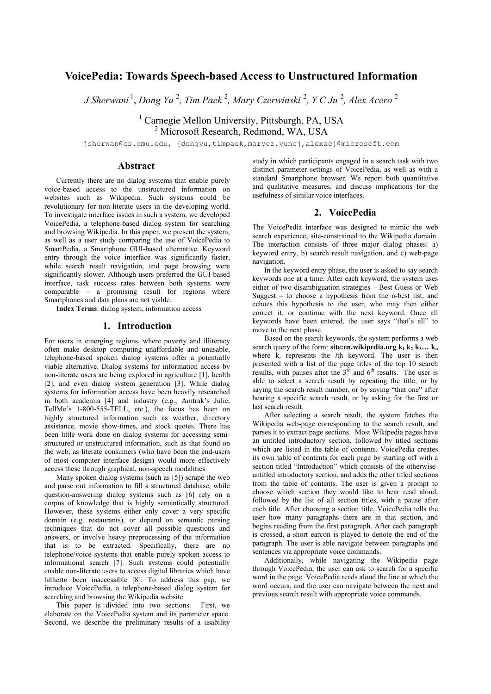# **VoicePedia: Towards Speech-based Access to Unstructured Information**

*J Sherwani* <sup>1</sup> , *Dong Yu* <sup>2</sup> *, Tim Paek* <sup>2</sup> *, Mary Czerwinski* <sup>2</sup> *, Y C Ju* <sup>2</sup> *, Alex Acero* <sup>2</sup>

<sup>1</sup> Carnegie Mellon University, Pittsburgh, PA, USA 2 Microsoft Research, Redmond, WA, USA

jsherwan@cs.cmu.edu, {dongyu,timpaek,marycz,yuncj,alexac}@microsoft.com

### **Abstract**

Currently there are no dialog systems that enable purely voice-based access to the unstructured information on websites such as Wikipedia. Such systems could be revolutionary for non-literate users in the developing world. To investigate interface issues in such a system, we developed VoicePedia, a telephone-based dialog system for searching and browsing Wikipedia. In this paper, we present the system, as well as a user study comparing the use of VoicePedia to SmartPedia, a Smartphone GUI-based alternative. Keyword entry through the voice interface was significantly faster, while search result navigation, and page browsing were significantly slower. Although users preferred the GUI-based interface, task success rates between both systems were comparable – a promising result for regions where Smartphones and data plans are not viable.

**Index Terms**: dialog system, information access

## **1. Introduction**

For users in emerging regions, where poverty and illiteracy often make desktop computing unaffordable and unusable, telephone-based spoken dialog systems offer a potentially viable alternative. Dialog systems for information access by non-literate users are being explored in agriculture [1], health [2], and even dialog system generation [3]. While dialog systems for information access have been heavily researched in both academia [4] and industry (e.g., Amtrak's Julie, TellMe's 1-800-555-TELL, etc.), the focus has been on highly structured information such as weather, directory assistance, movie show-times, and stock quotes. There has been little work done on dialog systems for accessing semistructured or unstructured information, such as that found on the web, as literate consumers (who have been the end-users of most computer interface design) would more effectively access these through graphical, non-speech modalities.

Many spoken dialog systems (such as [5]) scrape the web and parse out information to fill a structured database, while question-answering dialog systems such as [6] rely on a corpus of knowledge that is highly semantically structured. However, these systems either only cover a very specific domain (e.g. restaurants), or depend on semantic parsing techniques that do not cover all possible questions and answers, or involve heavy preprocessing of the information that is to be extracted. Specifically, there are no telephone/voice systems that enable purely spoken access to informational search [7]. Such systems could potentially enable non-literate users to access digital libraries which have hitherto been inaccessible [8]. To address this gap, we introduce VoicePedia, a telephone-based dialog system for searching and browsing the Wikipedia website.

This paper is divided into two sections. First, we elaborate on the VoicePedia system and its parameter space. Second, we describe the preliminary results of a usability study in which participants engaged in a search task with two distinct parameter settings of VoicePedia, as well as with a standard Smartphone browser. We report both quantitative and qualitative measures, and discuss implications for the usefulness of similar voice interfaces.

## **2. VoicePedia**

The VoicePedia interface was designed to mimic the web search experience, site-constrained to the Wikipedia domain. The interaction consists of three major dialog phases: a) keyword entry, b) search result navigation, and c) web-page navigation.

In the keyword entry phase, the user is asked to say search keywords one at a time. After each keyword, the system uses either of two disambiguation strategies – Best Guess or Web Suggest – to choose a hypothesis from the n-best list, and echoes this hypothesis to the user, who may then either correct it, or continue with the next keyword. Once all keywords have been entered, the user says "that's all" to move to the next phase.

Based on the search keywords, the system performs a web search query of the form: **site:en.wikipedia.org**  $k_1$   $k_2$   $k_3$ ...  $k_n$ where k<sub>i</sub> represents the *i*th keyword. The user is then presented with a list of the page titles of the top 10 search results, with pauses after the  $3<sup>rd</sup>$  and  $6<sup>th</sup>$  results. The user is able to select a search result by repeating the title, or by saying the search result number, or by saying "that one" after hearing a specific search result, or by asking for the first or last search result.

After selecting a search result, the system fetches the Wikipedia web-page corresponding to the search result, and parses it to extract page sections. Most Wikipedia pages have an untitled introductory section, followed by titled sections which are listed in the table of contents. VoicePedia creates its own table of contents for each page by starting off with a section titled "Introduction" which consists of the otherwiseuntitled introductory section, and adds the other titled sections from the table of contents. The user is given a prompt to choose which section they would like to hear read aloud, followed by the list of all section titles, with a pause after each title. After choosing a section title, VoicePedia tells the user how many paragraphs there are in that section, and begins reading from the first paragraph. After each paragraph is crossed, a short earcon is played to denote the end of the paragraph. The user is able navigate between paragraphs and sentences via appropriate voice commands.

Additionally, while navigating the Wikipedia page through VoicePedia, the user can ask to search for a specific word in the page. VoicePedia reads aloud the line at which the word occurs, and the user can navigate between the next and previous search result with appropriate voice commands.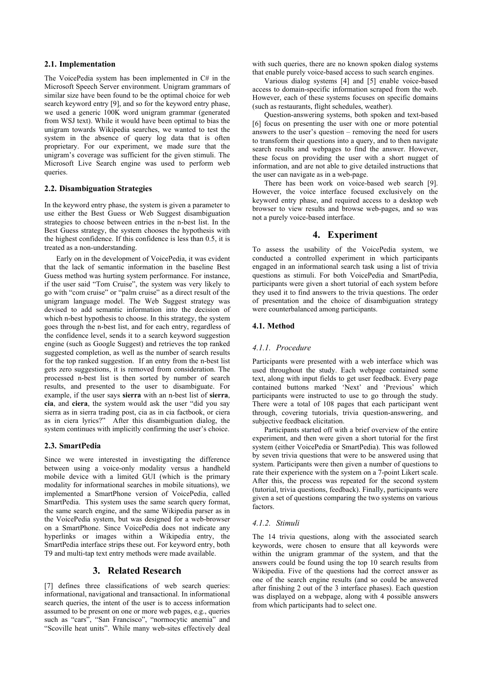#### **2.1. Implementation**

The VoicePedia system has been implemented in C# in the Microsoft Speech Server environment. Unigram grammars of similar size have been found to be the optimal choice for web search keyword entry [9], and so for the keyword entry phase, we used a generic 100K word unigram grammar (generated from WSJ text). While it would have been optimal to bias the unigram towards Wikipedia searches, we wanted to test the system in the absence of query log data that is often proprietary. For our experiment, we made sure that the unigram's coverage was sufficient for the given stimuli. The Microsoft Live Search engine was used to perform web queries.

## **2.2. Disambiguation Strategies**

In the keyword entry phase, the system is given a parameter to use either the Best Guess or Web Suggest disambiguation strategies to choose between entries in the n-best list. In the Best Guess strategy, the system chooses the hypothesis with the highest confidence. If this confidence is less than 0.5, it is treated as a non-understanding.

Early on in the development of VoicePedia, it was evident that the lack of semantic information in the baseline Best Guess method was hurting system performance. For instance, if the user said "Tom Cruise", the system was very likely to go with "com cruise" or "palm cruise" as a direct result of the unigram language model. The Web Suggest strategy was devised to add semantic information into the decision of which n-best hypothesis to choose. In this strategy, the system goes through the n-best list, and for each entry, regardless of the confidence level, sends it to a search keyword suggestion engine (such as Google Suggest) and retrieves the top ranked suggested completion, as well as the number of search results for the top ranked suggestion. If an entry from the n-best list gets zero suggestions, it is removed from consideration. The processed n-best list is then sorted by number of search results, and presented to the user to disambiguate. For example, if the user says **sierra** with an n-best list of **sierra**, **cia**, and **ciera**, the system would ask the user "did you say sierra as in sierra trading post, cia as in cia factbook, or ciera as in ciera lyrics?" After this disambiguation dialog, the system continues with implicitly confirming the user's choice.

### **2.3. SmartPedia**

Since we were interested in investigating the difference between using a voice-only modality versus a handheld mobile device with a limited GUI (which is the primary modality for informational searches in mobile situations), we implemented a SmartPhone version of VoicePedia, called SmartPedia. This system uses the same search query format, the same search engine, and the same Wikipedia parser as in the VoicePedia system, but was designed for a web-browser on a SmartPhone. Since VoicePedia does not indicate any hyperlinks or images within a Wikipedia entry, the SmartPedia interface strips these out. For keyword entry, both T9 and multi-tap text entry methods were made available.

## **3. Related Research**

[7] defines three classifications of web search queries: informational, navigational and transactional. In informational search queries, the intent of the user is to access information assumed to be present on one or more web pages, e.g., queries such as "cars", "San Francisco", "normocytic anemia" and "Scoville heat units". While many web-sites effectively deal

with such queries, there are no known spoken dialog systems that enable purely voice-based access to such search engines.

Various dialog systems [4] and [5] enable voice-based access to domain-specific information scraped from the web. However, each of these systems focuses on specific domains (such as restaurants, flight schedules, weather).

Question-answering systems, both spoken and text-based [6] focus on presenting the user with one or more potential answers to the user's question – removing the need for users to transform their questions into a query, and to then navigate search results and webpages to find the answer. However, these focus on providing the user with a short nugget of information, and are not able to give detailed instructions that the user can navigate as in a web-page.

There has been work on voice-based web search [9]. However, the voice interface focused exclusively on the keyword entry phase, and required access to a desktop web browser to view results and browse web-pages, and so was not a purely voice-based interface.

## **4. Experiment**

To assess the usability of the VoicePedia system, we conducted a controlled experiment in which participants engaged in an informational search task using a list of trivia questions as stimuli. For both VoicePedia and SmartPedia, participants were given a short tutorial of each system before they used it to find answers to the trivia questions. The order of presentation and the choice of disambiguation strategy were counterbalanced among participants.

#### **4.1. Method**

#### *4.1.1. Procedure*

Participants were presented with a web interface which was used throughout the study. Each webpage contained some text, along with input fields to get user feedback. Every page contained buttons marked 'Next' and 'Previous' which participants were instructed to use to go through the study. There were a total of 108 pages that each participant went through, covering tutorials, trivia question-answering, and subjective feedback elicitation.

Participants started off with a brief overview of the entire experiment, and then were given a short tutorial for the first system (either VoicePedia or SmartPedia). This was followed by seven trivia questions that were to be answered using that system. Participants were then given a number of questions to rate their experience with the system on a 7-point Likert scale. After this, the process was repeated for the second system (tutorial, trivia questions, feedback). Finally, participants were given a set of questions comparing the two systems on various factors.

#### *4.1.2. Stimuli*

The 14 trivia questions, along with the associated search keywords, were chosen to ensure that all keywords were within the unigram grammar of the system, and that the answers could be found using the top 10 search results from Wikipedia. Five of the questions had the correct answer as one of the search engine results (and so could be answered after finishing 2 out of the 3 interface phases). Each question was displayed on a webpage, along with 4 possible answers from which participants had to select one.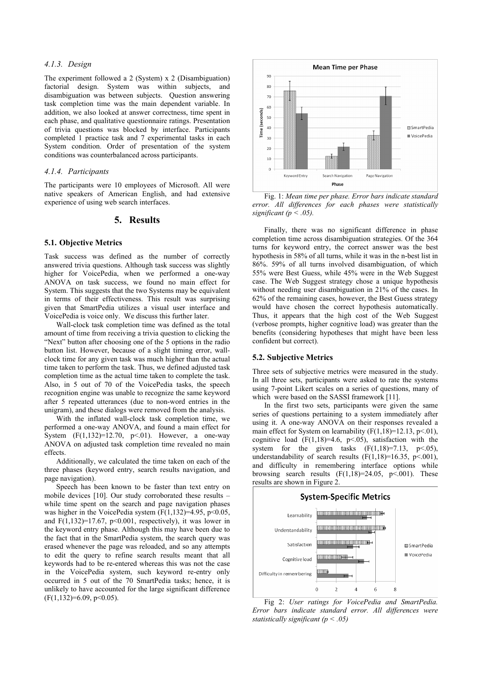#### *4.1.3. Design*

The experiment followed a 2 (System) x 2 (Disambiguation) factorial design. System was within subjects, and disambiguation was between subjects. Question answering task completion time was the main dependent variable. In addition, we also looked at answer correctness, time spent in each phase, and qualitative questionnaire ratings. Presentation of trivia questions was blocked by interface. Participants completed 1 practice task and 7 experimental tasks in each System condition. Order of presentation of the system conditions was counterbalanced across participants.

#### *4.1.4. Participants*

The participants were 10 employees of Microsoft. All were native speakers of American English, and had extensive experience of using web search interfaces.

### **5. Results**

#### **5.1. Objective Metrics**

Task success was defined as the number of correctly answered trivia questions. Although task success was slightly higher for VoicePedia, when we performed a one-way ANOVA on task success, we found no main effect for System. This suggests that the two Systems may be equivalent in terms of their effectiveness. This result was surprising given that SmartPedia utilizes a visual user interface and VoicePedia is voice only. We discuss this further later.

Wall-clock task completion time was defined as the total amount of time from receiving a trivia question to clicking the "Next" button after choosing one of the 5 options in the radio button list. However, because of a slight timing error, wallclock time for any given task was much higher than the actual time taken to perform the task. Thus, we defined adjusted task completion time as the actual time taken to complete the task. Also, in 5 out of 70 of the VoicePedia tasks, the speech recognition engine was unable to recognize the same keyword after 5 repeated utterances (due to non-word entries in the unigram), and these dialogs were removed from the analysis.

With the inflated wall-clock task completion time, we performed a one-way ANOVA, and found a main effect for System  $(F(1, 132)=12.70, p<0.1)$ . However, a one-way ANOVA on adjusted task completion time revealed no main effects.

Additionally, we calculated the time taken on each of the three phases (keyword entry, search results navigation, and page navigation).

Speech has been known to be faster than text entry on mobile devices [10]. Our study corroborated these results – while time spent on the search and page navigation phases was higher in the VoicePedia system  $(F(1,132)=4.95, p<0.05,$ and  $F(1,132)=17.67$ ,  $p<0.001$ , respectively), it was lower in the keyword entry phase. Although this may have been due to the fact that in the SmartPedia system, the search query was erased whenever the page was reloaded, and so any attempts to edit the query to refine search results meant that all keywords had to be re-entered whereas this was not the case in the VoicePedia system, such keyword re-entry only occurred in 5 out of the 70 SmartPedia tasks; hence, it is unlikely to have accounted for the large significant difference  $(F(1,132)=6.09, p<0.05)$ .



 Fig. 1: *Mean time per phase. Error bars indicate standard error. All differences for each phases were statistically significant (p < .05).*

Finally, there was no significant difference in phase completion time across disambiguation strategies. Of the 364 turns for keyword entry, the correct answer was the best hypothesis in 58% of all turns, while it was in the n-best list in 86%. 59% of all turns involved disambiguation, of which 55% were Best Guess, while 45% were in the Web Suggest case. The Web Suggest strategy chose a unique hypothesis without needing user disambiguation in 21% of the cases. In 62% of the remaining cases, however, the Best Guess strategy would have chosen the correct hypothesis automatically. Thus, it appears that the high cost of the Web Suggest (verbose prompts, higher cognitive load) was greater than the benefits (considering hypotheses that might have been less confident but correct).

### **5.2. Subjective Metrics**

Three sets of subjective metrics were measured in the study. In all three sets, participants were asked to rate the systems using 7-point Likert scales on a series of questions, many of which were based on the SASSI framework [11].

In the first two sets, participants were given the same series of questions pertaining to a system immediately after using it. A one-way ANOVA on their responses revealed a main effect for System on learnability  $(F(1, 18)=12.13, p<0.01)$ , cognitive load  $(F(1,18)=4.6, p<0.05)$ , satisfaction with the system for the given tasks  $(F(1,18)=7.13, p<0.05)$ , understandability of search results  $(F(1,18)=16.35, p<.001)$ , and difficulty in remembering interface options while browsing search results  $(F(1,18)=24.05, p<0.01)$ . These results are shown in Figure 2.



Fig 2: *User ratings for VoicePedia and SmartPedia. Error bars indicate standard error. All differences were statistically significant (p < .05)*